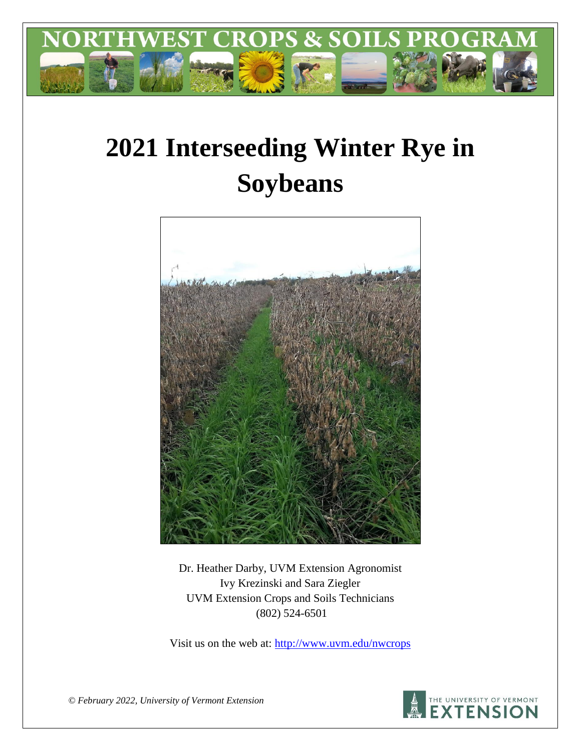

# **2021 Interseeding Winter Rye in Soybeans**



Dr. Heather Darby, UVM Extension Agronomist Ivy Krezinski and Sara Ziegler UVM Extension Crops and Soils Technicians (802) 524-6501

Visit us on the web at: <http://www.uvm.edu/nwcrops>



*© February 2022, University of Vermont Extension*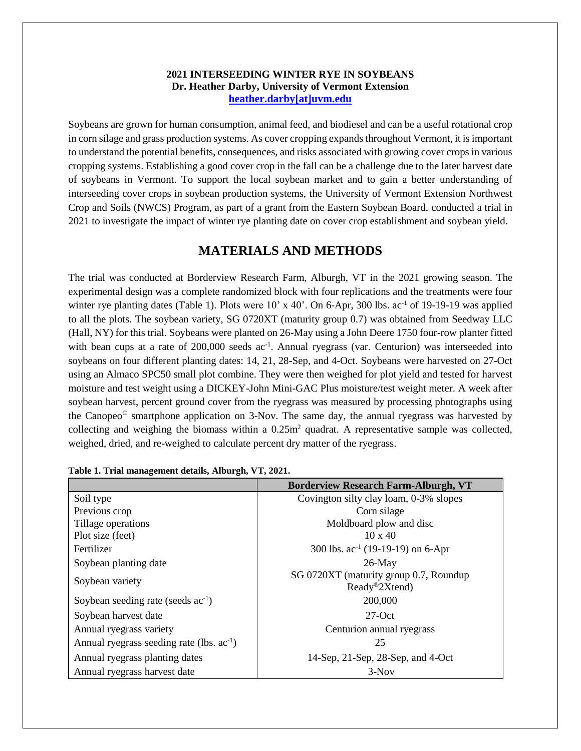#### **2021 INTERSEEDING WINTER RYE IN SOYBEANS Dr. Heather Darby, University of Vermont Extension [heather.darby\[at\]uvm.edu](mailto:heather.darby@uvm.edu?subject=2012%20Short%20Season%20Corn%20Report)**

Soybeans are grown for human consumption, animal feed, and biodiesel and can be a useful rotational crop in corn silage and grass production systems. As cover cropping expands throughout Vermont, it is important to understand the potential benefits, consequences, and risks associated with growing cover crops in various cropping systems. Establishing a good cover crop in the fall can be a challenge due to the later harvest date of soybeans in Vermont. To support the local soybean market and to gain a better understanding of interseeding cover crops in soybean production systems, the University of Vermont Extension Northwest Crop and Soils (NWCS) Program, as part of a grant from the Eastern Soybean Board, conducted a trial in 2021 to investigate the impact of winter rye planting date on cover crop establishment and soybean yield.

## **MATERIALS AND METHODS**

The trial was conducted at Borderview Research Farm, Alburgh, VT in the 2021 growing season. The experimental design was a complete randomized block with four replications and the treatments were four winter rye planting dates (Table 1). Plots were 10' x 40'. On 6-Apr, 300 lbs. ac<sup>-1</sup> of 19-19-19 was applied to all the plots. The soybean variety, SG 0720XT (maturity group 0.7) was obtained from Seedway LLC (Hall, NY) for this trial. Soybeans were planted on 26-May using a John Deere 1750 four-row planter fitted with bean cups at a rate of 200,000 seeds ac<sup>-1</sup>. Annual ryegrass (var. Centurion) was interseeded into soybeans on four different planting dates: 14, 21, 28-Sep, and 4-Oct. Soybeans were harvested on 27-Oct using an Almaco SPC50 small plot combine. They were then weighed for plot yield and tested for harvest moisture and test weight using a DICKEY-John Mini-GAC Plus moisture/test weight meter. A week after soybean harvest, percent ground cover from the ryegrass was measured by processing photographs using the Canopeo© smartphone application on 3-Nov. The same day, the annual ryegrass was harvested by collecting and weighing the biomass within a  $0.25m<sup>2</sup>$  quadrat. A representative sample was collected, weighed, dried, and re-weighed to calculate percent dry matter of the ryegrass.

|                                                | <b>Borderview Research Farm-Alburgh, VT</b>             |
|------------------------------------------------|---------------------------------------------------------|
| Soil type                                      | Covington silty clay loam, 0-3% slopes                  |
| Previous crop                                  | Corn silage                                             |
| Tillage operations                             | Moldboard plow and disc                                 |
| Plot size (feet)                               | $10 \times 40$                                          |
| Fertilizer                                     | 300 lbs. $ac^{-1}$ (19-19-19) on 6-Apr                  |
| Soybean planting date                          | $26$ -May                                               |
| Soybean variety                                | SG 0720XT (maturity group 0.7, Roundup<br>Ready®2Xtend) |
| Soybean seeding rate (seeds $ac^{-1}$ )        | 200,000                                                 |
| Soybean harvest date                           | $27$ -Oct                                               |
| Annual ryegrass variety                        | Centurion annual ryegrass                               |
| Annual ryegrass seeding rate (lbs. $ac^{-1}$ ) | 25                                                      |
| Annual ryegrass planting dates                 | 14-Sep, 21-Sep, 28-Sep, and 4-Oct                       |
| Annual ryegrass harvest date                   | $3-Nov$                                                 |

|  | Table 1. Trial management details, Alburgh, VT, 2021. |  |  |
|--|-------------------------------------------------------|--|--|
|  |                                                       |  |  |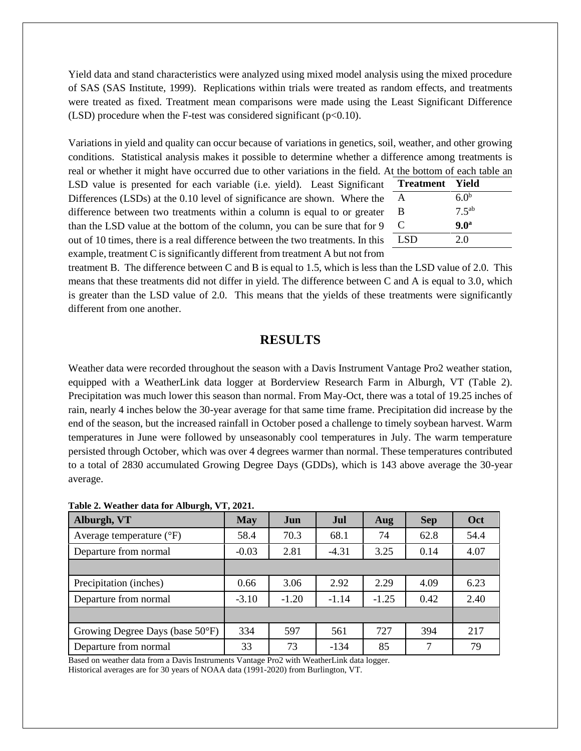Yield data and stand characteristics were analyzed using mixed model analysis using the mixed procedure of SAS (SAS Institute, 1999). Replications within trials were treated as random effects, and treatments were treated as fixed. Treatment mean comparisons were made using the Least Significant Difference (LSD) procedure when the F-test was considered significant  $(p<0.10)$ .

Variations in yield and quality can occur because of variations in genetics, soil, weather, and other growing conditions. Statistical analysis makes it possible to determine whether a difference among treatments is real or whether it might have occurred due to other variations in the field. At the bottom of each table an

LSD value is presented for each variable (i.e. yield). Least Significant Differences (LSDs) at the 0.10 level of significance are shown. Where the difference between two treatments within a column is equal to or greaterthan the LSD value at the bottom of the column, you can be sure that for 9 out of 10 times, there is a real difference between the two treatments. In this example, treatment C is significantly different from treatment A but not from

| nt  | <b>Treatment</b> Yield |                  |
|-----|------------------------|------------------|
| he  | A                      | 6.0 <sup>b</sup> |
| er  | B                      | $7.5^{ab}$       |
| ۰9  | C                      | 9.0 <sup>a</sup> |
| ıis | - LSD                  | 2.0              |
|     |                        |                  |

treatment B. The difference between C and B is equal to 1.5, which is less than the LSD value of 2.0. This means that these treatments did not differ in yield. The difference between C and A is equal to 3.0, which is greater than the LSD value of 2.0. This means that the yields of these treatments were significantly different from one another.

### **RESULTS**

Weather data were recorded throughout the season with a Davis Instrument Vantage Pro2 weather station, equipped with a WeatherLink data logger at Borderview Research Farm in Alburgh, VT (Table 2). Precipitation was much lower this season than normal. From May-Oct, there was a total of 19.25 inches of rain, nearly 4 inches below the 30-year average for that same time frame. Precipitation did increase by the end of the season, but the increased rainfall in October posed a challenge to timely soybean harvest. Warm temperatures in June were followed by unseasonably cool temperatures in July. The warm temperature persisted through October, which was over 4 degrees warmer than normal. These temperatures contributed to a total of 2830 accumulated Growing Degree Days (GDDs), which is 143 above average the 30-year average.

| Alburgh, VT                       | <b>May</b> | Jun     | Jul     | Aug     | <b>Sep</b> | Oct  |
|-----------------------------------|------------|---------|---------|---------|------------|------|
| Average temperature $(^{\circ}F)$ | 58.4       | 70.3    | 68.1    | 74      | 62.8       | 54.4 |
| Departure from normal             | $-0.03$    | 2.81    | $-4.31$ | 3.25    | 0.14       | 4.07 |
|                                   |            |         |         |         |            |      |
| Precipitation (inches)            | 0.66       | 3.06    | 2.92    | 2.29    | 4.09       | 6.23 |
| Departure from normal             | $-3.10$    | $-1.20$ | $-1.14$ | $-1.25$ | 0.42       | 2.40 |
|                                   |            |         |         |         |            |      |
| Growing Degree Days (base 50°F)   | 334        | 597     | 561     | 727     | 394        | 217  |
| Departure from normal             | 33         | 73      | $-134$  | 85      | 7          | 79   |

|  | Table 2. Weather data for Alburgh, VT, 2021. |  |  |  |  |  |
|--|----------------------------------------------|--|--|--|--|--|
|--|----------------------------------------------|--|--|--|--|--|

Based on weather data from a Davis Instruments Vantage Pro2 with WeatherLink data logger. Historical averages are for 30 years of NOAA data (1991-2020) from Burlington, VT.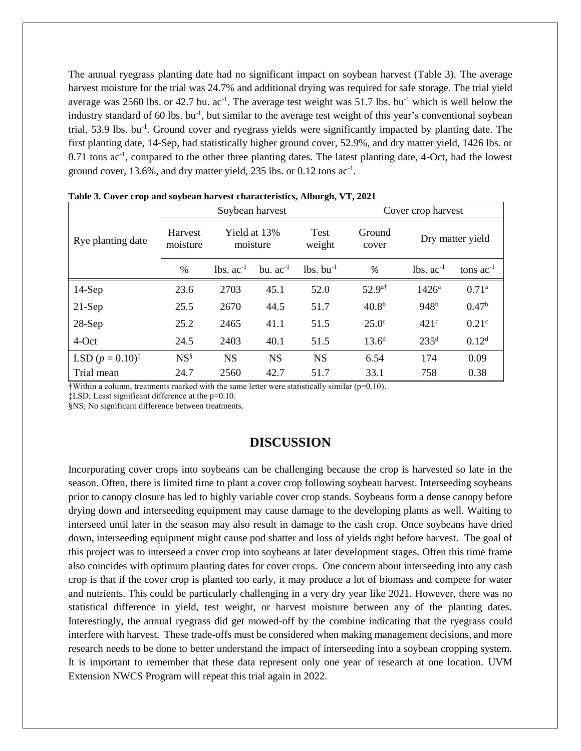The annual ryegrass planting date had no significant impact on soybean harvest (Table 3). The average harvest moisture for the trial was 24.7% and additional drying was required for safe storage. The trial yield average was 2560 lbs. or 42.7 bu.  $ac^{-1}$ . The average test weight was 51.7 lbs. bu<sup>-1</sup> which is well below the industry standard of 60 lbs. bu<sup>-1</sup>, but similar to the average test weight of this year's conventional soybean trial, 53.9 lbs. bu<sup>-1</sup>. Ground cover and ryegrass yields were significantly impacted by planting date. The first planting date, 14-Sep, had statistically higher ground cover, 52.9%, and dry matter yield, 1426 lbs. or 0.71 tons ac<sup>-1</sup>, compared to the other three planting dates. The latest planting date, 4-Oct, had the lowest ground cover, 13.6%, and dry matter yield, 235 lbs. or 0.12 tons ac<sup>-1</sup>.

|                             | $\sim$ $\sim$<br>Soybean harvest |                          |               |                         | Cover crop harvest |                  |                   |
|-----------------------------|----------------------------------|--------------------------|---------------|-------------------------|--------------------|------------------|-------------------|
| Rye planting date           | <b>Harvest</b><br>moisture       | Yield at 13%<br>moisture |               | <b>Test</b><br>weight   | Ground<br>cover    | Dry matter yield |                   |
|                             | $\frac{0}{0}$                    | $lbs. ac-1$              | bu. $ac^{-1}$ | $lbs.$ bu <sup>-1</sup> | %                  | $lbs. ac-1$      | tons $ac^{-1}$    |
| $14-Sep$                    | 23.6                             | 2703                     | 45.1          | 52.0                    | $52.9^{a\dagger}$  | $1426^{\circ}$   | 0.71 <sup>a</sup> |
| $21-Sep$                    | 25.5                             | 2670                     | 44.5          | 51.7                    | 40.8 <sup>b</sup>  | 948 <sup>b</sup> | 0.47 <sup>b</sup> |
| $28-Sep$                    | 25.2                             | 2465                     | 41.1          | 51.5                    | $25.0^\circ$       | $421^{\circ}$    | 0.21 <sup>c</sup> |
| 4-Oct                       | 24.5                             | 2403                     | 40.1          | 51.5                    | $13.6^d$           | 235 <sup>d</sup> | 0.12 <sup>d</sup> |
| LSD $(p = 0.10)^{\ddagger}$ | $NS^{\S}$                        | <b>NS</b>                | <b>NS</b>     | <b>NS</b>               | 6.54               | 174              | 0.09              |
| Trial mean                  | 24.7                             | 2560                     | 42.7          | 51.7                    | 33.1               | 758              | 0.38              |

**Table 3. Cover crop and soybean harvest characteristics, Alburgh, VT, 2021**

 $\dagger$ Within a column, treatments marked with the same letter were statistically similar ( $p=0.10$ ).

‡LSD; Least significant difference at the p=0.10.

§NS; No significant difference between treatments.

## **DISCUSSION**

Incorporating cover crops into soybeans can be challenging because the crop is harvested so late in the season. Often, there is limited time to plant a cover crop following soybean harvest. Interseeding soybeans prior to canopy closure has led to highly variable cover crop stands. Soybeans form a dense canopy before drying down and interseeding equipment may cause damage to the developing plants as well. Waiting to interseed until later in the season may also result in damage to the cash crop. Once soybeans have dried down, interseeding equipment might cause pod shatter and loss of yields right before harvest. The goal of this project was to interseed a cover crop into soybeans at later development stages. Often this time frame also coincides with optimum planting dates for cover crops. One concern about interseeding into any cash crop is that if the cover crop is planted too early, it may produce a lot of biomass and compete for water and nutrients. This could be particularly challenging in a very dry year like 2021. However, there was no statistical difference in yield, test weight, or harvest moisture between any of the planting dates. Interestingly, the annual ryegrass did get mowed-off by the combine indicating that the ryegrass could interfere with harvest. These trade-offs must be considered when making management decisions, and more research needs to be done to better understand the impact of interseeding into a soybean cropping system. It is important to remember that these data represent only one year of research at one location. UVM Extension NWCS Program will repeat this trial again in 2022.